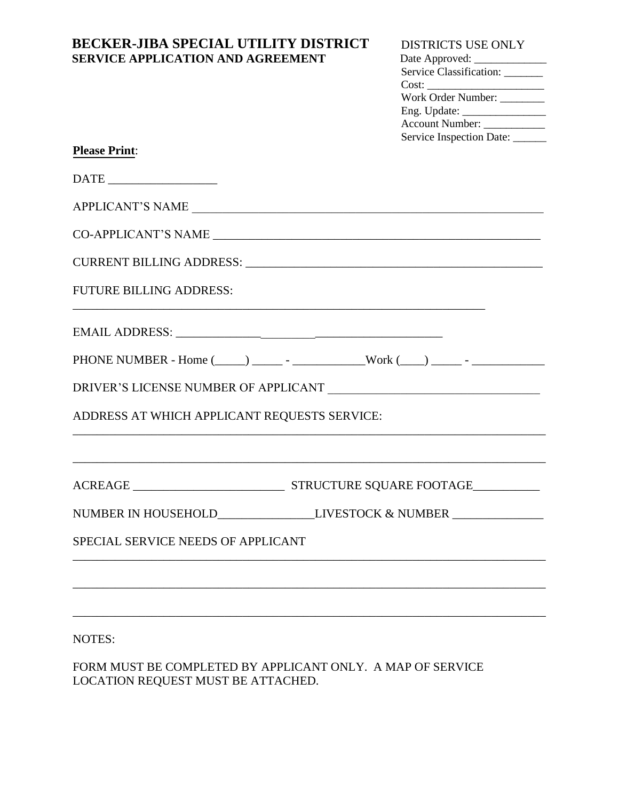# **BECKER-JIBA SPECIAL UTILITY DISTRICT SERVICE APPLICATION AND AGREEMENT**

### DISTRICTS USE ONLY

| Date Approved: ______________   |  |
|---------------------------------|--|
| Service Classification: _______ |  |
| Cost:                           |  |
| Work Order Number: ________     |  |
|                                 |  |
| Account Number: ____________    |  |
| Service Inspection Date:        |  |

| <b>Please Print:</b> |
|----------------------|
|----------------------|

| APPLICANT'S NAME                                                                 | $\begin{tabular}{c} \bf{DATE} \end{tabular}$ |  |  |  |
|----------------------------------------------------------------------------------|----------------------------------------------|--|--|--|
|                                                                                  |                                              |  |  |  |
|                                                                                  |                                              |  |  |  |
|                                                                                  |                                              |  |  |  |
|                                                                                  | <b>FUTURE BILLING ADDRESS:</b>               |  |  |  |
| NUMBER IN HOUSEHOLD________________________LIVESTOCK & NUMBER __________________ |                                              |  |  |  |
|                                                                                  |                                              |  |  |  |
|                                                                                  |                                              |  |  |  |
|                                                                                  | ADDRESS AT WHICH APPLICANT REQUESTS SERVICE: |  |  |  |
|                                                                                  |                                              |  |  |  |
|                                                                                  |                                              |  |  |  |
|                                                                                  |                                              |  |  |  |
|                                                                                  | SPECIAL SERVICE NEEDS OF APPLICANT           |  |  |  |
|                                                                                  |                                              |  |  |  |
|                                                                                  |                                              |  |  |  |

NOTES:

FORM MUST BE COMPLETED BY APPLICANT ONLY. A MAP OF SERVICE LOCATION REQUEST MUST BE ATTACHED.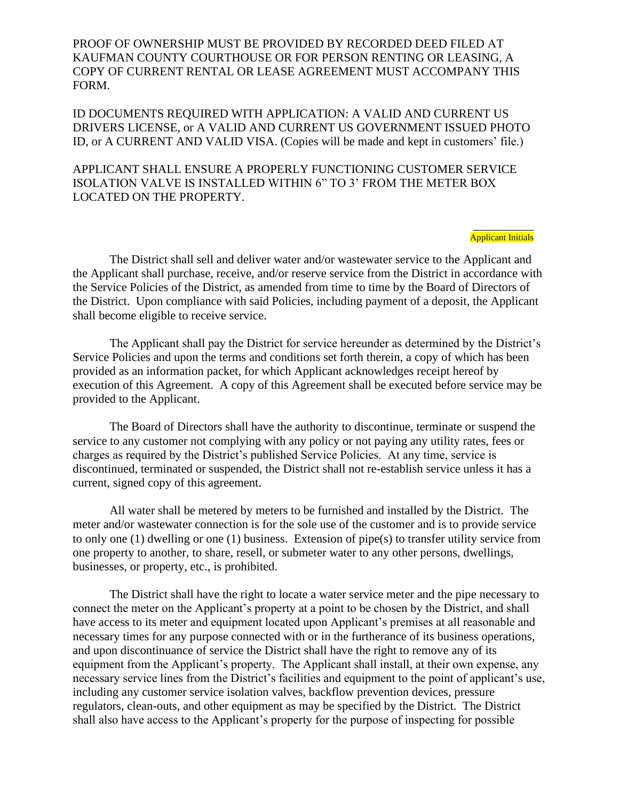PROOF OF OWNERSHIP MUST BE PROVIDED BY RECORDED DEED FILED AT KAUFMAN COUNTY COURTHOUSE OR FOR PERSON RENTING OR LEASING, A COPY OF CURRENT RENTAL OR LEASE AGREEMENT MUST ACCOMPANY THIS FORM.

ID DOCUMENTS REQUIRED WITH APPLICATION: A VALID AND CURRENT US DRIVERS LICENSE, or A VALID AND CURRENT US GOVERNMENT ISSUED PHOTO ID, or A CURRENT AND VALID VISA. (Copies will be made and kept in customers' file.)

APPLICANT SHALL ENSURE A PROPERLY FUNCTIONING CUSTOMER SERVICE ISOLATION VALVE IS INSTALLED WITHIN 6" TO 3' FROM THE METER BOX LOCATED ON THE PROPERTY.

> \_\_\_\_\_\_\_\_\_\_ Applicant Initials

The District shall sell and deliver water and/or wastewater service to the Applicant and the Applicant shall purchase, receive, and/or reserve service from the District in accordance with the Service Policies of the District, as amended from time to time by the Board of Directors of the District. Upon compliance with said Policies, including payment of a deposit, the Applicant shall become eligible to receive service.

The Applicant shall pay the District for service hereunder as determined by the District's Service Policies and upon the terms and conditions set forth therein, a copy of which has been provided as an information packet, for which Applicant acknowledges receipt hereof by execution of this Agreement. A copy of this Agreement shall be executed before service may be provided to the Applicant.

The Board of Directors shall have the authority to discontinue, terminate or suspend the service to any customer not complying with any policy or not paying any utility rates, fees or charges as required by the District's published Service Policies. At any time, service is discontinued, terminated or suspended, the District shall not re-establish service unless it has a current, signed copy of this agreement.

All water shall be metered by meters to be furnished and installed by the District. The meter and/or wastewater connection is for the sole use of the customer and is to provide service to only one (1) dwelling or one (1) business. Extension of pipe(s) to transfer utility service from one property to another, to share, resell, or submeter water to any other persons, dwellings, businesses, or property, etc., is prohibited.

The District shall have the right to locate a water service meter and the pipe necessary to connect the meter on the Applicant's property at a point to be chosen by the District, and shall have access to its meter and equipment located upon Applicant's premises at all reasonable and necessary times for any purpose connected with or in the furtherance of its business operations, and upon discontinuance of service the District shall have the right to remove any of its equipment from the Applicant's property. The Applicant shall install, at their own expense, any necessary service lines from the District's facilities and equipment to the point of applicant's use, including any customer service isolation valves, backflow prevention devices, pressure regulators, clean-outs, and other equipment as may be specified by the District. The District shall also have access to the Applicant's property for the purpose of inspecting for possible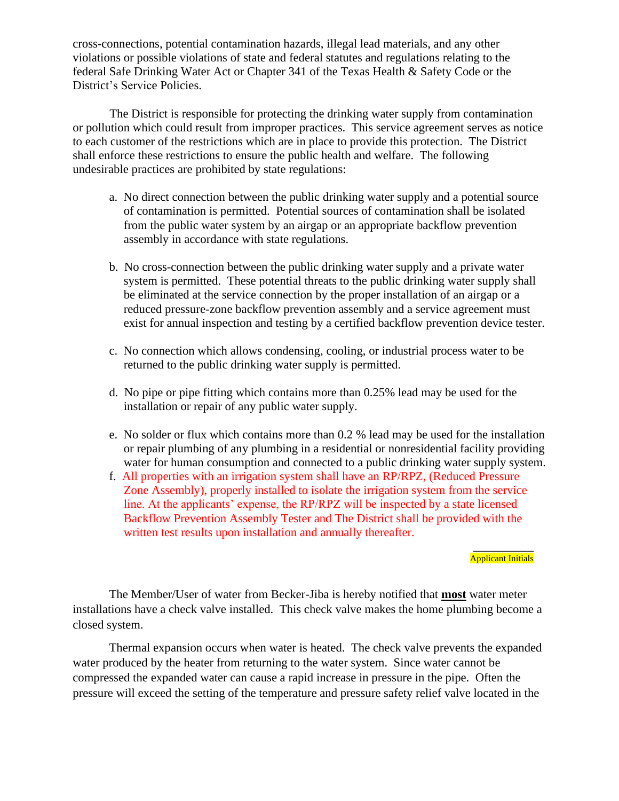cross-connections, potential contamination hazards, illegal lead materials, and any other violations or possible violations of state and federal statutes and regulations relating to the federal Safe Drinking Water Act or Chapter 341 of the Texas Health & Safety Code or the District's Service Policies.

The District is responsible for protecting the drinking water supply from contamination or pollution which could result from improper practices. This service agreement serves as notice to each customer of the restrictions which are in place to provide this protection. The District shall enforce these restrictions to ensure the public health and welfare. The following undesirable practices are prohibited by state regulations:

- a. No direct connection between the public drinking water supply and a potential source of contamination is permitted. Potential sources of contamination shall be isolated from the public water system by an airgap or an appropriate backflow prevention assembly in accordance with state regulations.
- b. No cross-connection between the public drinking water supply and a private water system is permitted. These potential threats to the public drinking water supply shall be eliminated at the service connection by the proper installation of an airgap or a reduced pressure-zone backflow prevention assembly and a service agreement must exist for annual inspection and testing by a certified backflow prevention device tester.
- c. No connection which allows condensing, cooling, or industrial process water to be returned to the public drinking water supply is permitted.
- d. No pipe or pipe fitting which contains more than 0.25% lead may be used for the installation or repair of any public water supply.
- e. No solder or flux which contains more than 0.2 % lead may be used for the installation or repair plumbing of any plumbing in a residential or nonresidential facility providing water for human consumption and connected to a public drinking water supply system.
- f. All properties with an irrigation system shall have an RP/RPZ, (Reduced Pressure Zone Assembly), properly installed to isolate the irrigation system from the service line. At the applicants' expense, the RP/RPZ will be inspected by a state licensed Backflow Prevention Assembly Tester and The District shall be provided with the written test results upon installation and annually thereafter.

#### $\overline{\phantom{a}}$ **Applicant Initials**

The Member/User of water from Becker-Jiba is hereby notified that **most** water meter installations have a check valve installed. This check valve makes the home plumbing become a closed system.

Thermal expansion occurs when water is heated. The check valve prevents the expanded water produced by the heater from returning to the water system. Since water cannot be compressed the expanded water can cause a rapid increase in pressure in the pipe. Often the pressure will exceed the setting of the temperature and pressure safety relief valve located in the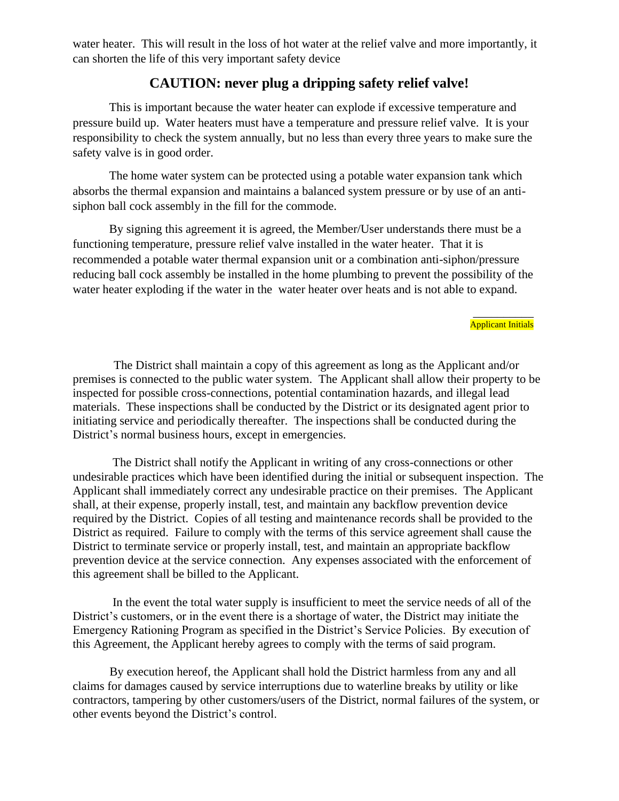water heater. This will result in the loss of hot water at the relief valve and more importantly, it can shorten the life of this very important safety device

## **CAUTION: never plug a dripping safety relief valve!**

This is important because the water heater can explode if excessive temperature and pressure build up. Water heaters must have a temperature and pressure relief valve. It is your responsibility to check the system annually, but no less than every three years to make sure the safety valve is in good order.

The home water system can be protected using a potable water expansion tank which absorbs the thermal expansion and maintains a balanced system pressure or by use of an antisiphon ball cock assembly in the fill for the commode.

By signing this agreement it is agreed, the Member/User understands there must be a functioning temperature, pressure relief valve installed in the water heater. That it is recommended a potable water thermal expansion unit or a combination anti-siphon/pressure reducing ball cock assembly be installed in the home plumbing to prevent the possibility of the water heater exploding if the water in the water heater over heats and is not able to expand.

#### $\overline{\phantom{a}}$ Applicant Initials

The District shall maintain a copy of this agreement as long as the Applicant and/or premises is connected to the public water system. The Applicant shall allow their property to be inspected for possible cross-connections, potential contamination hazards, and illegal lead materials. These inspections shall be conducted by the District or its designated agent prior to initiating service and periodically thereafter. The inspections shall be conducted during the District's normal business hours, except in emergencies.

The District shall notify the Applicant in writing of any cross-connections or other undesirable practices which have been identified during the initial or subsequent inspection. The Applicant shall immediately correct any undesirable practice on their premises. The Applicant shall, at their expense, properly install, test, and maintain any backflow prevention device required by the District. Copies of all testing and maintenance records shall be provided to the District as required. Failure to comply with the terms of this service agreement shall cause the District to terminate service or properly install, test, and maintain an appropriate backflow prevention device at the service connection. Any expenses associated with the enforcement of this agreement shall be billed to the Applicant.

In the event the total water supply is insufficient to meet the service needs of all of the District's customers, or in the event there is a shortage of water, the District may initiate the Emergency Rationing Program as specified in the District's Service Policies. By execution of this Agreement, the Applicant hereby agrees to comply with the terms of said program.

By execution hereof, the Applicant shall hold the District harmless from any and all claims for damages caused by service interruptions due to waterline breaks by utility or like contractors, tampering by other customers/users of the District, normal failures of the system, or other events beyond the District's control.